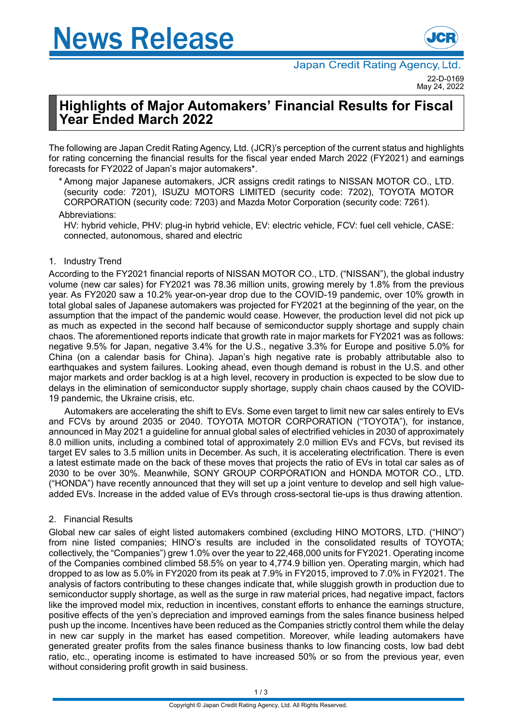

# **Highlights of Major Automakers' Financial Results for Fiscal Year Ended March 2022**

The following are Japan Credit Rating Agency, Ltd. (JCR)'s perception of the current status and highlights for rating concerning the financial results for the fiscal year ended March 2022 (FY2021) and earnings forecasts for FY2022 of Japan's major automakers\*.

\* Among major Japanese automakers, JCR assigns credit ratings to NISSAN MOTOR CO., LTD. (security code: 7201), ISUZU MOTORS LIMITED (security code: 7202), TOYOTA MOTOR CORPORATION (security code: 7203) and Mazda Motor Corporation (security code: 7261).

#### Abbreviations:

HV: hybrid vehicle, PHV: plug-in hybrid vehicle, EV: electric vehicle, FCV: fuel cell vehicle, CASE: connected, autonomous, shared and electric

## 1. Industry Trend

According to the FY2021 financial reports of NISSAN MOTOR CO., LTD. ("NISSAN"), the global industry volume (new car sales) for FY2021 was 78.36 million units, growing merely by 1.8% from the previous year. As FY2020 saw a 10.2% year-on-year drop due to the COVID-19 pandemic, over 10% growth in total global sales of Japanese automakers was projected for FY2021 at the beginning of the year, on the assumption that the impact of the pandemic would cease. However, the production level did not pick up as much as expected in the second half because of semiconductor supply shortage and supply chain chaos. The aforementioned reports indicate that growth rate in major markets for FY2021 was as follows: negative 9.5% for Japan, negative 3.4% for the U.S., negative 3.3% for Europe and positive 5.0% for China (on a calendar basis for China). Japan's high negative rate is probably attributable also to earthquakes and system failures. Looking ahead, even though demand is robust in the U.S. and other major markets and order backlog is at a high level, recovery in production is expected to be slow due to delays in the elimination of semiconductor supply shortage, supply chain chaos caused by the COVID-19 pandemic, the Ukraine crisis, etc.

Automakers are accelerating the shift to EVs. Some even target to limit new car sales entirely to EVs and FCVs by around 2035 or 2040. TOYOTA MOTOR CORPORATION ("TOYOTA"), for instance, announced in May 2021 a guideline for annual global sales of electrified vehicles in 2030 of approximately 8.0 million units, including a combined total of approximately 2.0 million EVs and FCVs, but revised its target EV sales to 3.5 million units in December. As such, it is accelerating electrification. There is even a latest estimate made on the back of these moves that projects the ratio of EVs in total car sales as of 2030 to be over 30%. Meanwhile, SONY GROUP CORPORATION and HONDA MOTOR CO., LTD. ("HONDA") have recently announced that they will set up a joint venture to develop and sell high valueadded EVs. Increase in the added value of EVs through cross-sectoral tie-ups is thus drawing attention.

## 2. Financial Results

Global new car sales of eight listed automakers combined (excluding HINO MOTORS, LTD. ("HINO") from nine listed companies; HINO's results are included in the consolidated results of TOYOTA; collectively, the "Companies") grew 1.0% over the year to 22,468,000 units for FY2021. Operating income of the Companies combined climbed 58.5% on year to 4,774.9 billion yen. Operating margin, which had dropped to as low as 5.0% in FY2020 from its peak at 7.9% in FY2015, improved to 7.0% in FY2021. The analysis of factors contributing to these changes indicate that, while sluggish growth in production due to semiconductor supply shortage, as well as the surge in raw material prices, had negative impact, factors like the improved model mix, reduction in incentives, constant efforts to enhance the earnings structure, positive effects of the yen's depreciation and improved earnings from the sales finance business helped push up the income. Incentives have been reduced as the Companies strictly control them while the delay in new car supply in the market has eased competition. Moreover, while leading automakers have generated greater profits from the sales finance business thanks to low financing costs, low bad debt ratio, etc., operating income is estimated to have increased 50% or so from the previous year, even without considering profit growth in said business.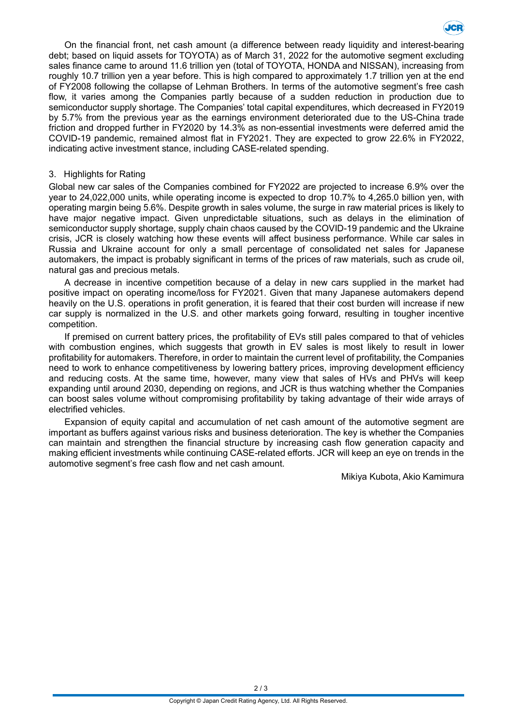

On the financial front, net cash amount (a difference between ready liquidity and interest-bearing debt; based on liquid assets for TOYOTA) as of March 31, 2022 for the automotive segment excluding sales finance came to around 11.6 trillion yen (total of TOYOTA, HONDA and NISSAN), increasing from roughly 10.7 trillion yen a year before. This is high compared to approximately 1.7 trillion yen at the end of FY2008 following the collapse of Lehman Brothers. In terms of the automotive segment's free cash flow, it varies among the Companies partly because of a sudden reduction in production due to semiconductor supply shortage. The Companies' total capital expenditures, which decreased in FY2019 by 5.7% from the previous year as the earnings environment deteriorated due to the US-China trade friction and dropped further in FY2020 by 14.3% as non-essential investments were deferred amid the COVID-19 pandemic, remained almost flat in FY2021. They are expected to grow 22.6% in FY2022, indicating active investment stance, including CASE-related spending.

#### 3. Highlights for Rating

Global new car sales of the Companies combined for FY2022 are projected to increase 6.9% over the year to 24,022,000 units, while operating income is expected to drop 10.7% to 4,265.0 billion yen, with operating margin being 5.6%. Despite growth in sales volume, the surge in raw material prices is likely to have major negative impact. Given unpredictable situations, such as delays in the elimination of semiconductor supply shortage, supply chain chaos caused by the COVID-19 pandemic and the Ukraine crisis, JCR is closely watching how these events will affect business performance. While car sales in Russia and Ukraine account for only a small percentage of consolidated net sales for Japanese automakers, the impact is probably significant in terms of the prices of raw materials, such as crude oil, natural gas and precious metals.

A decrease in incentive competition because of a delay in new cars supplied in the market had positive impact on operating income/loss for FY2021. Given that many Japanese automakers depend heavily on the U.S. operations in profit generation, it is feared that their cost burden will increase if new car supply is normalized in the U.S. and other markets going forward, resulting in tougher incentive competition.

If premised on current battery prices, the profitability of EVs still pales compared to that of vehicles with combustion engines, which suggests that growth in EV sales is most likely to result in lower profitability for automakers. Therefore, in order to maintain the current level of profitability, the Companies need to work to enhance competitiveness by lowering battery prices, improving development efficiency and reducing costs. At the same time, however, many view that sales of HVs and PHVs will keep expanding until around 2030, depending on regions, and JCR is thus watching whether the Companies can boost sales volume without compromising profitability by taking advantage of their wide arrays of electrified vehicles.

Expansion of equity capital and accumulation of net cash amount of the automotive segment are important as buffers against various risks and business deterioration. The key is whether the Companies can maintain and strengthen the financial structure by increasing cash flow generation capacity and making efficient investments while continuing CASE-related efforts. JCR will keep an eye on trends in the automotive segment's free cash flow and net cash amount.

Mikiya Kubota, Akio Kamimura